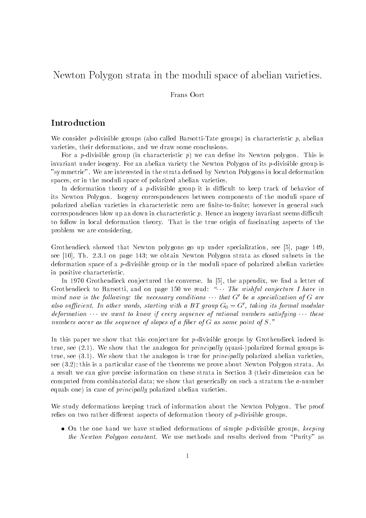# Newton Polygon strata in the moduli space of abelian varieties

### Frans Oort

## Introduction

We consider pdivisible groups also called BarsottiTate groups- in characteristic p abelian varieties, their deformations, and we draw some conclusions.

For a pdivisible group in characteristic p- we can dene its Newton polygon This is invariant under isogeny. For an abelian variety the Newton Polygon of its  $p$ -divisible group is "symmetric". We are interested in the strata defined by Newton Polygons in local deformation spaces or in the moduli space of polarized abelian varieties

In deformation theory of a  $p$ -divisible group it is difficult to keep track of behavior of its Newton Polygon. Isogeny correspondences between components of the moduli space of polarized abelian varieties in characteristic zero are finite-to-finite; however in general such correspondences blow up an down in characteristic  $p$ . Hence an isogeny invariant seems difficult to follow in local deformation theory. That is the true origin of fascinating aspects of the problem we are considering

Grothendieck showed that Newton polygons go up under specialization see page  see  $[10]$ , Th. 2.3.1 on page 143; we obtain Newton Polygon strata as closed subsets in the deformation space of a *p*-divisible group or in the moduli space of polarized abelian varieties in positive characteristic

In  Grothendieck conjectured the converse In the appendix we nd a letter of Grothendieck to Barsotti and on page  we read The wishful conjecture I have in mind now is the following: the necessary conditions  $\cdots$  that G' be a specialization of G are also sufficient. In other words, starting with a BT group  $\mathrm{G}_0 \equiv \mathrm{G}$  , taking its formal modular  $\blacksquare$ deformation  $\cdots$  we want to know if every sequence of rational numbers satisfying  $\cdots$  these numbers occur as the sequence of slopes of a fiber of G as some point of S."

In this paper we show that this conjecture for  $p$ -divisible groups by Grothendieck indeed is true see that the analogon formal meaning and all principal the principal principal and the groups is true see - We show that the analogon is true for principally polarized abelian varieties see , this is a particular case of the theorems we prove about the theorems we prove about  $\Delta$  and the theorem a result we can give precise information on these strata in Section 3 (their dimension can be computed from combinatorial data; we show that generically on such a stratum the  $a$ -number equals one- in case of principally polarized abelian varieties

We study deformations keeping track of information about the Newton Polygon. The proof relies on two rather different aspects of deformation theory of  $p$ -divisible groups.

 $\bullet$  On the one hand we have studied deformations of simple p-divisible groups, keeping the Newton Polygon constant. We use methods and results derived from "Purity" as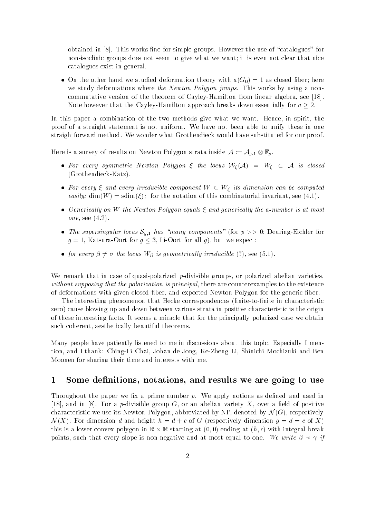obtained in  $[8]$ . This works fine for simple groups. However the use of "catalogues" for non-isoclinic groups does not seem to give what we want; it is even not clear that nice catalogues exist in general

 $\mathcal{N} = \mathcal{N}$  and we studied the other hand with a G-UI as closed ber here the studies again as closed ber here the studies of the studies of the studies of the studies of the studies of the studies of the studies of th we study deformations where the Newton Polygon jumps. This works by using a noncommutative version of the theorem of Cayley-Hamilton from linear algebra, see [18]. Note however that the CayleyHamilton approach breaks down essentially for a -

In this paper a combination of the two methods give what we want. Hence, in spirit, the proof of a straight statement is not uniform We have not been able to unify these in one straightforward method. We wonder what Grothendieck would have substituted for our proof.

Here is a survey of results on Newton Polygon strata inside  $\mathcal{A} := \mathcal{A}_{g,1} \otimes \mathbb{F}_p$ .

- . For every symmetric event in eightic **t** and locus was alleged was also because when the locus was also because Grothendieck and the control of the control of the control of the control of the control of the control of the control of the control of the control of the control of the control of the control of the control of the contro
- For every  $\xi$  and every irreducible component  $W \subset W_{\xi}$  its dimension can be computed easily dimensional international international international international invariant see a social international
- Generically on W the Newton Polygon equals  $\xi$  and generically the a-number is at most one see 
-
- The supersingular locus  $S_{q,1}$  has "many components" (for  $p \gg 0$ ; Deuring-Eichler for  $\mathbf{v}$  is a contract for all g-d-contract for all g-d-contract for all g-d-contract for all g-d-contract for all g-d-contract for all g-d-contract for all g-d-contract for all g-d-contract for all g-d-contract for all g
- $\mathcal{L}_{\mathcal{A}}$  is geometrically in the locus W-Line and the locus  $\mathcal{A}_{\mathcal{A}}$  is geometrically in the locus  $\mathcal{A}_{\mathcal{A}}$

We remark that in case of quasi-polarized  $p$ -divisible groups, or polarized abelian varieties, without supposing that the polarization is principal, there are counterexamples to the existence of deformations with given closed fiber, and expected Newton Polygon for the generic fiber.

The interesting phenomenon that Hecke correspondences (finite-to-finite in characteristic zero- cause blowing up and down between various strata in positive characteristic is the origin of these interesting facts It seems a miracle that for the principally polarized case we obtain such coherent, aesthetically beautiful theorems.

Many people have patiently listened to me in discussions about this topic Especially I men tion, and I thank: Ching-Li Chai, Johan de Jong, Ke-Zheng Li, Shinichi Mochizuki and Ben Moonen for sharing their time and interests with me

#### $\mathbf 1$ oome acminions, notations, and results we are going to use

Throughout the paper we fix a prime number  $p$ . We apply notions as defined and used in [18], and in [8]. For a p-divisible group G, or an abelian variety X, over a field of positive characteristic we use its Newton Polygon abbreviated by Newton Polygon abbreviated by Newton Polygon abbreviat <sup>N</sup> X- For dimension d and height h d c of G respectively dimension g d c of Xthis is a lower convex polygon in R  $\alpha$  , the station  $\alpha$  at  $\alpha$  is an  $\alpha$  at  $\alpha$  is a convex contract of  $\alpha$ points such that every slope is nonnegative and at most equal to one We write - if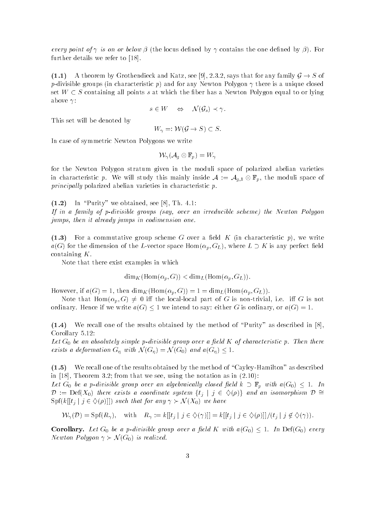every point of is on or below - the locus dened by contains the one dened by -- For further details we refer to [18].

- A theorem by Grothendieck and Katz see says that for any family G S of point for an and for any newton characteristic p-point is a unique controlled by a unique closed and the control set  $W \subset S$  containing all points s at which the fiber has a Newton Polygon equal to or lying above  $\gamma$ :

$$
s\in W\quad\Leftrightarrow\quad \mathcal{N}(\mathcal{G}_s)\prec\gamma.
$$

This set will be denoted by

$$
W_{\gamma} =: \mathcal{W}(\mathcal{G} \to S) \subset S.
$$

In case of symmetric Newton Polygons we write

$$
\mathcal{W}_\gamma(\mathcal{A}_g\otimes\mathbb{F}_p)=W_\gamma
$$

for the Newton Polygon stratum given in the moduli space of polarized abelian varieties in characteristic p. We will study this mainly inside  $A := A_{g,1} \otimes \mathbb{F}_p$ , the moduli space of principally polarized abelian varieties in characteristic  $p$ .

 $(1.2)$ In "Purity" we obtained, see  $[8]$ , Th. 4.1: If in a family of pdivisible groups say over an irreducible scheme the Newton Polygon jumps, then it already jumps in codimension one.

- For a commutative group scheme G over a eld K in characteristic p- we write age is the dimension of the Luce space Home Lemma  $\alpha_{H}$  , where  $\alpha$  is an any perfect element containing  $K$ .

Note that there exist examples in which

$$
\dim_K(\mathrm{Hom}(\alpha_p, G)) < \dim_L(\mathrm{Hom}(\alpha_p, G_L)).
$$

 $\mu$  is a then different then dimensionally and  $\mu$  and  $\mu$ 

 $N$  if the locality is non-trivial part of G is non-trivial ie in G is non-trivial ie in G is non-trivial ie in G is non-trivial in  $\Gamma$ ordinary Hence if we interest if we interest against the same interest or against the same interest or ag-

- We recall one of the results obtained by the method of Purity as described in  $\sim$  - - - - - -  $\sim$  - - - -  $\sim$ 

Let  $G_0$  be an absolutely simple p-divisible group over a field K of characteristic p. Then there exists a definition  $\mathcal{A}$  and agree  $\mathcal{A} = \mathcal{A}$  and a define  $\mathcal{A} = \mathcal{A}$  and a define  $\mathcal{A} = \mathcal{A}$ 

, we recall our the results of the results of the results of the case of the method of CayleyHamilton as described as described as described of  $\sim$ in the from the see using the norm that we see using the norm that we see using the norm  $\mathcal{M}$ 

 $\blacksquare$  . The algebraic group over an algebraically closed given in  $\blacktriangleright$   $\blacksquare$   $\blacksquare$  with a  $\blacksquare$   $\blacksquare$   $\blacksquare$  $\nu = \text{Det}(A_0)$  there exists a coordinate system  $\{v_j \mid j \in \vee \{p\}\}\$  and an isomorphism  $\nu = \nu$ Spfk tj <sup>j</sup> <sup>j</sup> 
 -- such that for any N X- we have

$$
\mathcal{W}_{\gamma}(\mathcal{D}) = \text{Spf}(R_{\gamma}), \quad \text{with} \quad R_{\gamma} := k[[t_j \mid j \in \diamondsuit(\gamma)]] = k[[t_j \mid j \in \diamondsuit(\rho)]]/(t_j \mid j \notin \diamondsuit(\gamma)).
$$

corollary-between the corollary-corollary-corollary-corollary-corollary-corollary-corollary-corollary-corollar Newton Polygon N G- is realized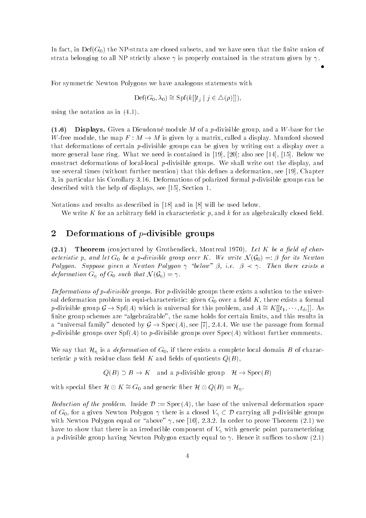In the NPS the NPstrata are closed subsets and we have seen that the nite union of  $\mathbf{N}$ strata belonging to all NP strictly above  $\gamma$  is properly contained in the stratum given by  $\gamma$ .

For symmetric Newton Polygons we have analogous statements with

$$
\mathrm{Def}(G_0, \lambda_0) \cong \mathrm{Spf}(k[[t_j \mid j \in \Delta(\rho)]]),
$$

using the notation as in 
-

 $(1.6)$ . Displays- Given a Displays- module module module many module group and a William Construction and W-free module, the map  $F : M \to M$  is given by a matrix, called a display. Mumford showed that deformations of certain p-divisible groups can be given by writing out a display over a more general base ring we need it contains in the contained in  $\mathbb{R}^n$  also see  $\mathbb{R}^n$  . The set  $\mathbb{R}^n$ construct deformations of local-local  $p$ -divisible groups. We shall write out the display, and use several times with the this deformation mention-  $\mu$  this definition is deformation see  $\mu$  and  $\mu$  with  $\mu$ 3, in particular his Corollary 3.16. Deformations of polarized formal p-divisible groups can be described with the help of displays see  $\mathbb{R}^n$  . The help of displays see  $\mathbb{R}^n$ 

Notations and results as described in  $[18]$  and in  $[8]$  will be used below.

We write K for an arbitrary field in characteristic p, and k for an algebraically closed field.

#### $\overline{2}$ Deformations of  $p$ -divisible groups

 $(2.1)$  Theorem conjectured by Grothendieck Montreal - Let K be a eld of char acteristic products and let G be a positive group over the state over the state over A G-G-G-G-G-G-G-G-G-G-G-G Polygon Suppose given a Newton Polygon below - a provided by Apple Polygon and the exists a deformation G  $\mu$  -  $\mu$  G of G such that N  $\mu$  G  $\mu$  and  $\mu$  and  $\mu$ 

Deformations of p-divisible groups. For p-divisible groups there exists a solution to the universal deformation problem in equi-characteristic: given  $G_0$  over a field K, there exists a formal p-divisible group  $g \to sp((A)$  which is universal for this problem, and  $A = K[[t_1, \cdots, t_{dc}]]$ . As finite group schemes are "algebraizable", the same holds for certain limits, and this results in a universal family denoted by G  $\mu$  , Specifically and formal from passage from from  $\Delta$ positive groups over Spectal in positivity groups over Specific, without further comments in

We say that  $\mathcal{H}_\eta$  is a *deformation* of  $G_0$ , if there exists a complete local domain B of characteristic p with residue class eld K and elds of quotients QB-

and the state of the contract of the special order of the state of the state of the state of the state of the state of the state of the state of the state of the state of the state of the state of the state of the state of

with special liber  $\pi \otimes \pi = \sigma_0$  and generic liber  $\pi \otimes \mathcal{Q}(D) = \pi_{\eta}$ .

Reduction of the problem Inside <sup>D</sup> SpecA- the base of the universal deformation space of  $G_0$ , for a given Newton Polygon  $\gamma$  there is a closed  $V_\gamma \subset \mathcal{D}$  carrying all p-divisible groups with the new top give equal or above  $\mathcal{L}_1$  , the proven in order to prove Theorem (In  $\mathcal{L}_2$  ) and have to show that there is an irreducible component of  $V_{\gamma}$  with generic point parameterizing a p-divisible group having Newton Polygon exactly equal to  $\gamma$ . Hence it suffices to show (2.1)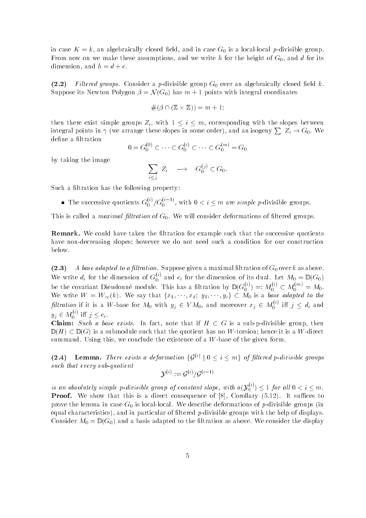in case  $K = k$ , an algebraically closed field, and in case  $G_0$  is a local-local p-divisible group. From now on we make these assumptions, and we write h for the height of  $G_0$ , and d for its dimension, and  $h = d + c$ .

 $(2.2)$ Filtered groups. Consider a p-divisible group  $G_0$  over an algebraically closed field k. suppose its Newton Polygon - March 2001 - Polygon - March 2001 - Polygon - March 2002 - Polygon - Polygon - Po

$$
\#(\beta\cap(\mathbb{Z}\times\mathbb{Z}))=m+1;
$$

then there exist simple groups  $Z_i$ , with  $1 \leq i \leq m$ , corresponding with the slopes between integral points in  $\gamma$  (we arrange these slopes in some order), and an isogeny  $\sum Z_i \to G_0$ . We define a filtration

$$
0 = G_0^{(0)} \subset \cdots \subset G_0^{(i)} \subset \cdots \subset G_0^{(m)} = G_0
$$

by taking the image

$$
\sum_{i < j} Z_i \quad \longrightarrow \quad G_0^{(j)} \subset G_0.
$$

Such a filtration has the following property:

• The successive quotients  $G_0^{\gamma}/G_0^{\gamma-\gamma}$ , with  $0 < i \leq m$  are simple p-divisible groups.

This is called a *maximal filtration* of  $G_0$ . We will consider deformations of filtered groups.

executive taken taken taken the litration for example such that the successive quotients have non-decreasing slopes; however we do not need such a condition for our construction below

 $(2.3)$ A base adapted to a filtration. Suppose given a maximal filtration of  $G_0$  over k as above. We write  $d_i$  for the dimension of  $G_0^{\vee}$  and  $c_i$  for the dimension of its dual. Let  $M_0 = \mathbb{D}(G_0)$ be the covariant Dieudonne module. This has a filtration by  $\mathbb{D}(G_0^{(\gamma)})=:M_0^{(\gamma)}\subset M_0^{(\gamma)}=M_0.$ we say that fix  $\mathcal{Y} = \{x_i\}$  and  $\mathcal{Y} = \{x_i\}$  and  $\mathcal{Y} = \{x_i\}$  and  $\mathcal{Y} = \{x_i\}$  and  $\mathcal{Y} = \{x_i\}$ fultration if it is a W-base for  $M_0$  with  $y_j \in VM_0,$  and moreover  $x_j \in M_0^{\sim}$  iff  $j \leq d_i$  and  $y_j \in M_0^{\vee}$  iff  $j \leq c_i$ .

**Claim:** Such a base exists. In fact, note that if  $H \subset G$  is a sub-p-divisible group, then <sup>D</sup> H- DG- is a submodule such that the quotient has no Wtorsion hence it is a Wdirect summand. Using this, we conclude the existence of a  $W$ -base of the given form.

 $(2.4)$ **4)** Lemma. There exists a deformation  $\{G^{(1)} \mid G \leq i \leq m\}$  of filtered p-ateisible groups such that every sub-quotient

$$
\mathcal{Y}^{(i)} := \mathcal{G}^{(i)} / \mathcal{G}^{(i-1)}
$$

is an absolutely simple p-divisible group of constant slope, with  $a(Y_n^{\gamma})$ **Proof.** We show that this is a direct consequence of [8], Corollary  $(5.12)$ . It suffices to prove the lemma in case  $G_0$  is local-local. We describe deformations of p-divisible groups (in equal characteristics-  $\mu$  and in particular of literation  $\mu$  are specified potential and help of displays Consider M DG - and a basis adapted to the ltration as above We consider the display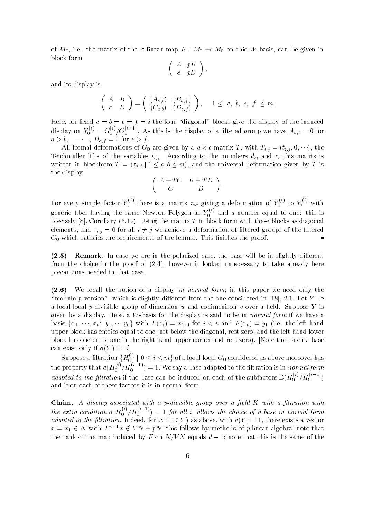of  $M_0$ , i.e. the matrix of the  $\sigma$ -linear map  $F : M_0 \to M_0$  on this W-basis, can be given in block form

$$
\left(\begin{array}{cc}A & pB \\ c & pD \end{array}\right),
$$

and its display is

$$
\left(\begin{array}{cc} A & B \\ c & D \end{array}\right) = \left(\begin{array}{cc} (A_{a,b}) & (B_{a,f}) \\ (C_{e,b}) & (D_{e,f}) \end{array}\right), \quad 1 \leq a, b, e, f \leq m.
$$

Here for a b e  $\mathcal{A}$  is the four diagonal blocks give the induced blocks give the induced blocks give the induced blocks give the induced blocks give the induced blocks give the induced blocks give the induced blocks g display on  $Y_0^{\gamma\gamma} = G_0^{\gamma\gamma}/G_0^{\gamma-\gamma}$ . As this is the display of a filtered group we have  $A_{a,b}=0$  for ab Def for ef

 $A = \{ \begin{matrix} 1 & 1 & 1 & 1 \ 1 & 1 & 1 & 1 \end{matrix} \}$  and  $\{ \begin{matrix} 1 & 1 & 1 & 1 \ 1 & 1 & 1 & 1 \end{matrix} \}$ Teichmüller lifts of the variables  $t_{i,j}$ . According to the mumbers  $d_i$ , and  $c_i$  this matrix is written in all blockform  $\mathcal{L} = \{ \mathcal{L} \{ \mathcal{L} \} \}$  , and the universal deformation  $\mathcal{L}$  is the universal deformation  $\mathcal{L}$ the display

$$
\left(\begin{array}{cc}A+TC & B+TD\\ C & D\end{array}\right).
$$

For every simple factor  $Y_0^{\gamma\gamma}$  there is a matrix  $\tau_{i,i}$  giving a deformation of  $Y_0^{\gamma\gamma}$  to  $Y_7^{\gamma\gamma}$  with generic fiber having the same Newton Polygon as  $Y_0^{\gamma\gamma}$  and  $a$ -number equal to one: this is  $\mathcal{C}$  . The matrix  $\mathcal{C}$  is the matrix T in block form with the matrix  $\mathcal{C}$  in block form with the matrix  $\mathcal{C}$ elements, and  $\tau_{i,j} = 0$  for all  $i \neq j$  we achieve a deformation of filtered groups of the filtered  $G_0$  which satisfies the requirements of the lemma. This finishes the proof.

 $(2.5)$ remark- In the slightly distributed case the polarized case will be in the base will be in slightly different from the choice in the proof of 
- however it looked unnecessary to take already here precautions needed in that case

 $(2.6)$ We recall the notion of a display in normal form; in this paper we need only the "modulo p version", which is slightly different from the one considered in [18], 2.1. Let Y be a local-local p-divisible group of dimension u and codimenison v over a field. Suppose Y is given by a display. Here, a W-basis for the display is said to be in *normal form* if we have a basis fx xu y yv <sup>g</sup> with <sup>F</sup> xi- xi for iu and <sup>F</sup> xu- y ie the left hand upper block has entries equal to one just below the diagonal, rest zero, and the left hand lower block has one that  $\mu$  and  $\mu$  the right hand upper corner and rest zero-y process and rest a base can exist only if  $a(Y) = 1$ . the contract of the contract of the contract of the contract of the contract of

Suppose a filtration  $\{H_0^{\infty} \mid 0 \leq i \leq m\}$  of a local-local  $G_0$  considered as above moreover has the property that  $a(H_0^{(1)}/H_0^{(1)})=1.$  We say a base adapted to the filtration is in normal form adapted to the filtration if the base can be induced on each of the subfactors  $\mathbb{D}(H_0^{\gamma'}/H_0^{\gamma-\gamma})$ and if on each of these factors it is in normal form

claim-claim-claim-claim-claim-claim-claim-claim-claim-claim-claim-claim-claim-claim-claim-claim-claim-claim-cl the extra condition  $a(H_0^{\gamma\gamma}/H_0^{\gamma\gamma})$  :  for al l i al lows the choice of a base in normal form adapted to the purchased for the left for N  $\alpha$  - N  $\alpha$  and  $\alpha$  and  $\alpha$  are existence with a vector of  $\alpha$  $x = x_1 \in N$  with  $F - x \notin V N + pN$ ; this follows by methods of p-finear algebra; note that the ranks of the map induced by F on N equals d and the same of the same of the same of the same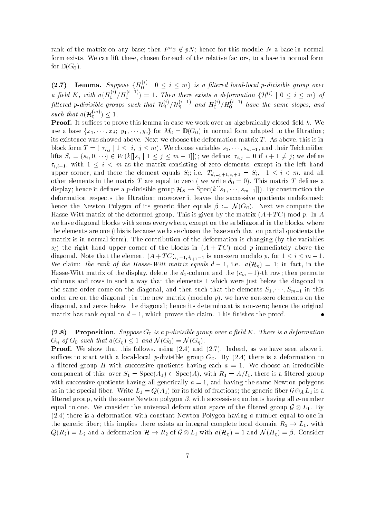rank of the matrix on any base, then  $F \, x \notin pN$  , hence for this module  $N$  a base in normal form exists. We can lift these, chosen for each of the relative factors, to a base in normal form for <sup>D</sup> G -

(2.7) Lemma. Suppose  $\{H_0^{\gamma\gamma} \mid 0 \leq i \leq m\}$  is a filtered local-local p-divisible group over a field K, with  $a(H_0^{\gamma}/H_0^{\gamma-\gamma})=1$ . Then there exists a deformation  $\{\mathcal{H}^{(\gamma)}\mid 0\leq i\leq m\}$  of filtered p-divisible groups such that  $H_{\eta}^{\sim}/H_{\eta}^{\sim}$  ond  $H_{0}^{\sim}/H_{0}^{\sim}$  have the same slopes, and such that  $a(H_n^{n-1}) \leq 1$ .

Proof- It suces to prove this lemma in case we work over an algebraically closed eld k We where for  $\alpha$  is a base form and  $\alpha$  in  $\alpha$  and  $\alpha$   $\alpha$  in the left of  $\alpha$  and  $\alpha$  in  $\alpha$  is the left of  $\alpha$ its existence was showed above. Next we choose the deformation matrix  $T$ . As above, this is in  $\begin{array}{cccc} \text{M} & \text{M} & \text{M} & \text{M} & \text{M} & \text{M} & \text{M} \end{array}$  $\cdots$  since  $\cdots$  , we denote the simulation of  $J$  is the simulation of  $J$  ,  $J$  , we denote  $\tau_{i,i+1}$ , with  $1 \leq i \leq m$  as the matrix consisting of zero elements, except in the left hand upper corner, and there the element equals  $S_i$ ; i.e.  $T_{d_{i-1}+1,c_i+1}=S_i$ ,  $1\leq i\leq m$ , and all other elements in the matrix T are equal to zero we well do - v y - zero matrix T denes a display here it display here it display has been constructed a positivity of the small  $\ell$  in the small small  $\ell$ deformation respects the filtration; moreover it leaves the successive quotients undeformed; hence the Newton Polygon of its generic ber equals - <sup>N</sup> G- Next we compute the Hasseman and deformed group This is given by the matrix  $\mathbf{A}$  is given by the matrix  $\mathbf{A}$ we have diagonal blocks with zeros everywhere, except on the subdiagonal in the blocks, where the elements are one (this is because we have chosen the base such that on partial quotients the matrix is in normal form-part form-different in the deformation is the variable changing by the variables si- the right hand upper corner of the blocks in A T C- mod p immediately above the diagonal Note that the element  $\setminus$  (  $\cdot$  )  $\vdash$   $\bot$  ( $\circ$   $\downarrow$   $\vdash$   $\bot$  as nonzero modulo  $\bot$  ) and  $\bot$  (  $\bot$  ()  $\bot$ we construct the rank of the Hasser Million matrix equals d and  $\mathbb{P}^1$  and  $\mathbb{P}^1$  and fact in the set  $\Box$  the display delete the display delete the delete the column and the column and the column and the column and the column and the column and the column and the column and the column and the column and the column and th columns and rows in such a way that the elements 1 which were just below the diagonal in the same order come on the diagonal and then such that the elements S  $\Gamma$  is the elements  $\sim$ order are on the diagonal in the new matrix modulo p-1 as new mode elements on the s diagonal, and zeros below the diagonal; hence its determinant is non-zero; hence the original matrix has rank equal to  $d-1$ , which proves the claim. This finishes the proof.

 $(2.8)$  Proposition- Suppose G is a pdivisible group over a eld K There is a deformation  $\mathbb{C}^n$  , and  $\mathbb{C}^n$  and  $\mathbb{C}^n$  again. The such that agrees that a  $\mathbb{C}^n$  and  $\mathbb{C}^n$  and  $\mathbb{C}^n$  are  $\mathbb{C}^n$  and  $\mathbb{C}^n$  are  $\mathbb{C}^n$  and  $\mathbb{C}^n$  are  $\mathbb{C}^n$  and  $\mathbb{C}^n$  are  $\mathbb{C}^$ 

Proof- We show that this follows using 
- and - Indeed as we have seen above it suces to start with a local point  $p$  anti-mility  $G$  bulb group  $G$  by  $\mathcal{F}$  and  $\mathcal{F}$  are a deformation to a filtered group H with successive quotients having each  $a = 1$ . We choose an irreducible component of the interest of the specale and the interest of the special contract of the interest of the special contract of the special contract of the special contract of the special contract of the special contract of t with successive quotients having all generically  $a = 1$ , and having the same Newton polygons as in the special between  $\mathbf{f} = \mathbf{f} \mathbf{A}$  , which is eld of fractions the generic best fractions the  $\mathbf{g}$ ltered group with the same Newton polygon - with successive quotients having all anumber equal to one. We consider the universal deformation space of the filtered group  $\mathcal{G} \otimes L_1$ . By  $t \mapsto t$  deformation with constant Newton Polygon having anumber equal to one in the one in the one in the one in the one in the one in the one in the one in the one in the one in the one in the one in the one in the one i the generic fiber; this implies there exists an integral complete local domain  $R_2 \to L_1$ , with  $\mathcal{L}_{\mathcal{U}}$  , and a deformation  $\{X \in \mathcal{U} \mid \mathcal{U} \neq 1 \text{ and } \mathcal{U} \neq 0\}$  , and  $\mathcal{U} \neq 0$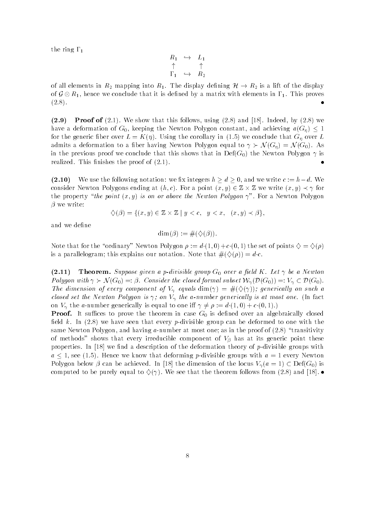the ring  $\Gamma_1$ 

$$
\begin{array}{ccc}\nR_1 & \hookrightarrow & L_1 \\
\uparrow & & \uparrow \\
\Gamma_1 & \hookrightarrow & R_2\n\end{array}
$$

of all elements in  $R_2$  mapping into  $R_1$ . The display defining  $\mathcal{H} \to R_2$  is a lift of the display of  $\mathcal{G} \otimes R_1$ , hence we conclude that it is defined by a matrix with elements in  $\Gamma_1$ . This proves  $(2.8).$ 

 $(2.9)$  $\mathcal{L}_{\mathcal{P}}$  is the state that the state in the computational computations in the state of  $\mathcal{P}_{\mathcal{P}}$  and  $\mathcal{P}_{\mathcal{P}}$ have a deformation of G keeping the Newton Polygon constant and achieving aG  re dense the correlation of the corollary in the corollary in the corollary in the corollary of the corollary admits a ber having  $\mathcal{A}(Q)$  and  $\mathcal{A}(Q)$  are  $\mathcal{A}(Q)$  . The  $\mathcal{A}(Q)$  of  $\mathcal{A}(Q)$  and  $\mathcal{A}(Q)$  are  $\mathcal{A}(Q)$  and  $\mathcal{A}(Q)$  are  $\mathcal{A}(Q)$  and  $\mathcal{A}(Q)$  are  $\mathcal{A}(Q)$  and  $\mathcal{A}(Q)$  are  $\mathcal{A}(Q)$  and  $\mathcal{$ in the previous proof we conclude that this shows that in DefG- the Newton Polygon is realized. This finishes the proof of  $(2.1)$ .

- We use the following notation we x integers h - d- and we write c hd We consider the considered at the constant  $\alpha$  and  $\alpha$  is the constant  $\alpha$  and  $\alpha$  and  $\alpha$  is the constant  $\alpha$  and  $\alpha$  is the constant  $\alpha$ the property the point x y- is on or above the Newton Polygon For a Newton Polygon

$$
\diamondsuit(\beta) = \{(x, y) \in \mathbb{Z} \times \mathbb{Z} \mid y < c, \ y < x, \ (x, y) \prec \beta\},
$$

and we define

$$
\dim(\beta) := \#(\diamondsuit(\beta)).
$$

 $\mathcal{L}$  . The set of the ordinary  $\mathcal{L}$  . The set of  $\mathcal{L}$  and  $\mathcal{L}$  are set of points  $\mathcal{L}$  . The set of  $\mathcal{L}$ is a particle of the contract of the contract of the second that the contract  $\mu$  ,  $\mu$  ,  $\mu$ 

 $(2.11)$  Theorem- Suppose given a pdivisible group G over a eld K Let be a Newton . ( Consider the consider the consider the consider the consider the consider the constant  $\mu$  or  $\mu$ The dimension of every component of V equals dim- 
-- generically on such a closed set the Newton Polygon is  $\gamma$ ; on  $V_{\gamma}$  the a-number generically is at most one. (In fact on V the anumber generically is equal to one i d - c --

Proof- It suces to prove the theorem in case G is dened over an algebraically closed eld k in the seen that the seed that the seen that the seeds to one with the seeds the case of the seeds of th same Newton Polygon and having anumber at most one as in the proof of - transitivity of methods shows that every irreducible component of V-C must be denoted by the theory properties. In  $[18]$  we find a description of the deformation theory of p-divisible groups with a see Africa we know that deforming points with a deforming points with a deforming points with a deforming  $\mathcal{P}(\Omega)$  . The dimension of the dimension of the dimension of the dimension of the locus  $\mathcal{P}(\Omega)$ computed to be purely equal to villege that the theorem follows from the theorem follows from the th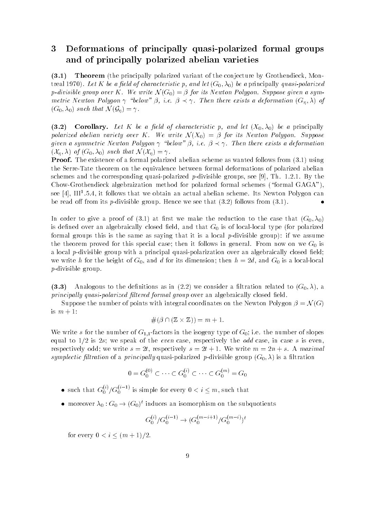### 3 Deformations of principally quasi-polarized formal groups and of principally polarized abelian varieties

 $(3.1)$ **Theorem** (the principally polarized variant of the conjecture by Grothendieck, Montreal and a principally state  $f$  and let  $\mu$  and let  $\mu$  and let  $\mu$  be a principally quasipolarized and let pdivisible group over K We write <sup>N</sup> G- - for its Newton Polygon Suppose given a sym metric Newton Polygon below - ie - Then there exists a deformation G - of  $\mathcal{S}$  -  $\mathcal{S}$  -  $\mathcal{S}$  -  $\mathcal{S}$  -  $\mathcal{S}$  -  $\mathcal{S}$  -  $\mathcal{S}$  -  $\mathcal{S}$  -  $\mathcal{S}$  -  $\mathcal{S}$  -  $\mathcal{S}$  -  $\mathcal{S}$  -  $\mathcal{S}$  -  $\mathcal{S}$  -  $\mathcal{S}$  -  $\mathcal{S}$  -  $\mathcal{S}$  -  $\mathcal{S}$  -  $\mathcal{S}$  -  $\mathcal{S}$  -

 $(3.2)$ corollary-beneficial corollary-corollary-corollary-corollary-corollary-corollary-corollary-corollary-corollary polarized abelian variety over K We write N X-H W ( ) and its Newton K H We write N Suppose given a symmetric Polygon polygon below - a deformation and the exists and the service and the service of th  $\lambda$  -  $\mu$  is  $\lambda$  -  $\lambda$  -  $\lambda$  -  $\lambda$  -  $\lambda$  -  $\lambda$  -  $\lambda$  -  $\lambda$  -  $\lambda$  -  $\lambda$  -  $\lambda$  -  $\lambda$  -  $\lambda$  -  $\lambda$  -  $\lambda$  -  $\lambda$  -  $\lambda$  -  $\lambda$  -  $\lambda$  -  $\lambda$  -  $\lambda$  -  $\lambda$  -  $\lambda$  -  $\lambda$  -  $\lambda$  -  $\lambda$  -  $\lambda$  -  $\lambda$  -  $\lambda$  -  $\lambda$ 

Proof- The existence of a formal polarized abelian scheme as wanted follows from - using the SerreTate theorem on the equivalence between formal deformations of polarized abelian schemes and the corresponding quasi-polarized p-divisible groups, see [9], Th. 1.2.1. By the ChowGrothendieck algebraization method for polarized formal schemes formal GAGA see [4], III".5.4, it follows that we obtain an actual abelian scheme. Its Newton Polygon can be ready the from the position of groups from the west that (field ) follows (field)

In the case and the reduction to the reduction to the reduction to the case the case that  $\alpha$ is defined over an algebraically closed field, and that  $G_0$  is of local-local type (for polarized for a local groups that is the same as saying that it is a local point in the same assumed in the same assumed in  $\mathcal{L}$ the theorem proved for this special case; then it follows in general. From now on we  $G_0$  is a local p-divisible group with a principal quasi-polarization over an algebraically closed field; we write h for the height of  $G_0$ , and d for its dimension; then  $h = 2d$ , and  $G_0$  is a local-local  $p$ -divisible group.

 $(3.3)$ analogous to the denitions as in the density as assumed to the constant constant to  $\{ \infty, \alpha \}$  . The constant principally quasi-polarized filtered formal group over an algebraically closed field.

Suppose the number of points with integral coordinates on the Newton Polygon - <sup>N</sup> Gis  $m+1$ :

$$
\#(\beta \cap (\mathbb{Z} \times \mathbb{Z})) = m + 1.
$$

We write s for the number of  $G_{1,1}$ -factors in the isogeny type of  $G_0$ ; i.e. the number of slopes equal to my more many complete and the event case incompletely the case in case in case in case, which respectively odd; we write  $s = 2t$ , respectively  $s = 2t + 1$ . We write  $m = 2n + s$ . A maximal symplectic ltration of a principally quasipolarized pdivisible group G - is a ltration

$$
0 = G_0^{(0)} \subset \cdots \subset G_0^{(i)} \subset \cdots \subset G_0^{(m)} = G_0
$$

- $\bullet$  such that  $G_0^{\scriptscriptstyle{(n)}}/G_0^{\scriptscriptstyle{(n)}}$  's simple for every  $0 < i \leq m,$  such that
- $\bullet$  moreover  $\lambda_0 : \mathsf{G}_0 \to (\mathsf{G}_0)$  -induces an isomorphism on the subquotients

$$
G_0^{(i)}/G_0^{(i-1)} \to (G_0^{(m-i+1)}/G_0^{(m-i)})^t
$$

for every i m -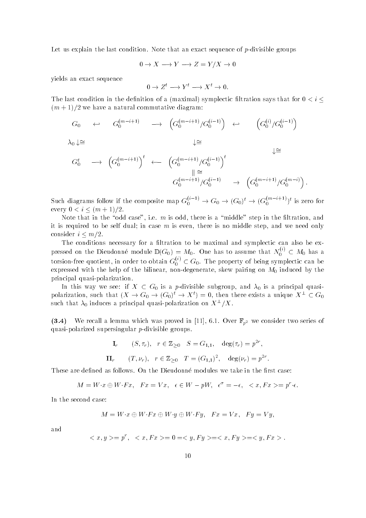Let us explain the last condition. Note that an exact sequence of  $p$ -divisible groups

$$
0 \to X \longrightarrow Y \longrightarrow Z = Y/X \to 0
$$

yields an exact sequence

$$
0 \to Z^t \longrightarrow Y^t \longrightarrow X^t \to 0.
$$

The last condition in the denition of a maximal-density of a maximal-density  $\mathbf{I}$ m - we have a natural commutative diagram

$$
G_0 \qquad \leftrightarrow \qquad G_0^{(m-i+1)} \qquad \longrightarrow \qquad \left( G_0^{(m-i+1)}/G_0^{(i-1)} \right) \qquad \leftrightarrow \qquad \left( G_0^{(i)}/G_0^{(i-1)} \right)
$$

 $\lambda_0 \downarrow \cong \qquad \qquad \downarrow \cong$ 

$$
G_0^t \longrightarrow \left( G_0^{(m-i+1)} \right)^t \longleftarrow \left( G_0^{(m-i+1)}/G_0^{(i-1)} \right)^t
$$
  

$$
\xrightarrow{\parallel \cong}_{G_0^{(m-i+1)}/G_0^{(i-1)}} \longrightarrow \left( G_0^{(m-i+1)}/G_0^{(m-i)} \right).
$$

Such diagrams follow if the composite map  $G_0^{\circ}$   $\rightarrow$   $G_0 \rightarrow (G_0)^c \rightarrow (G_0^{\circ}$   $\rightarrow$   $)^c$  is zero for . The contract of the contract of the contract of the contract of the contract of the contract of the contract of the contract of the contract of the contract of the contract of the contract of the contract of the contrac

Note that in the "odd case", i.e. m is odd, there is a "middle" step in the filtration, and it is required to be self dual; in case  $m$  is even, there is no middle step, and we need only consider in the constant of the constant of the constant of the constant of the constant of the constant of the

The conditions necessary for a filtration to be maximal and symplectic can also be expressed on the Dieudonne module  $\mathbb{D}(G_0) = M_0$ . One has to assume that  $N_0^{\infty} \subset M_0$  has a torsion-free quotient, in order to obtain  $G_0^{\vee} \subset G_0.$  The property of being symplectic can be expressed with the help of the bilinear, non-degenerate, skew pairing on  $M_0$  induced by the principal quasi-polarization.

In this way we see: if  $X \subset G_0$  is a p-divisible subgroup, and  $\lambda_0$  is a principal quasipolarization, such that  $(X \to G_0 \to (G_0) \to X^\circ) \equiv 0,$  then there exists a unique  $X^\circ \subset G_0$ such that  $\lambda_0$  induces a principal quasi-polarization on  $A^-/A$  .

 $\mathcal{L}$  and the constant which was proved in  $\mathcal{L}$  , we find the consideration of  $\mathcal{L}$ quasi-polarized supersingular  $p$ -divisible groups.

$$
\mathbf{I}_r \qquad (S, \tau_r), \quad r \in \mathbb{Z}_{\geq 0} \quad S = G_{1,1}, \quad \deg(\tau_r) = p^{2r},
$$
\n
$$
\mathbf{II}_r \qquad (T, \nu_r), \quad r \in \mathbb{Z}_{\geq 0} \quad T = (G_{1,1})^2, \quad \deg(\nu_r) = p^{2r}.
$$

These are defined as follows. On the Dieudonné modules we take in the first case:

$$
M = W \cdot x \oplus W \cdot F x, \quad Fx = Vx, \quad \epsilon \in W - pW, \quad \epsilon^{\sigma} = -\epsilon, \quad \langle x, Fx \rangle = p^r \cdot \epsilon.
$$

In the second case

$$
M = W \cdot x \oplus W \cdot Fx \oplus W \cdot y \oplus W \cdot Fy, \quad Fx = Vx, \quad Fy = Vy,
$$

and

$$
\langle x, y \rangle = p^r, \quad \langle x, Fx \rangle = 0 = \langle y, Fy \rangle = \langle x, Fy \rangle = \langle y, Fx \rangle.
$$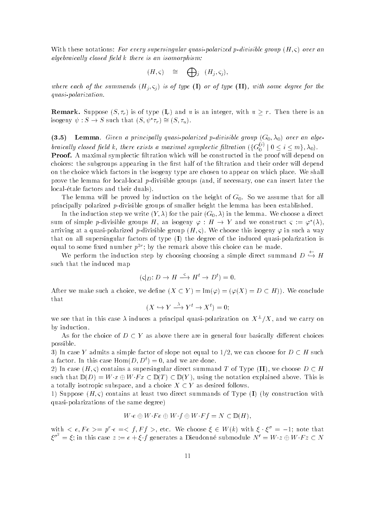With these notations For every supersingular quasipolarized pdivisible group H - over an algebraically closed field  $k$  there is an isomorphism:

$$
(H,\varsigma) \quad \cong \quad \bigoplus_j \quad (H_j,\varsigma_j),
$$

where each of the summative I or j j  $j$  is of type I or of type II with some degree  $j$  and the some quasi-polarization.

remark- Suppose Islam - is an integrated with under the content of the second community of the second community isogeny  $\psi: \mathcal{S} \to \mathcal{S}$  such that  $(\mathcal{S}, \psi | \mathcal{V}_r) = (\mathcal{S}, \mathcal{V}_u)$ .

 $(3.5)$  Lemma Given a principal ly quasipolarized pdivisible group G - over an alge braically closed field k, there exists a maximal symplectic filtration  $(\{G_0^{\vee}\mid 0\leq i\leq m\},\lambda_0)$ .

. Protection and the proof will be constructed in the proof will be constructed in the proof will depend on th choices: the subgroups appearing in the first half of the filtration and their order will depend on the choice which factors in the isogeny type are chosen to appear on which place We shall prove the lemma for local-local p-divisible groups (and, if necessary, one can insert later the localetale factors and their duals-

The lemma will be proved by induction on the height of  $G_0$ . So we assume that for all principally polarized  $p$ -divisible groups of smaller height the lemma has been established.

In the induction step we write Y - for the pair G - in the lemma We choose a direct sum of simple p-divisible groups  $H$ , an isogeny  $\varphi : H \to Y$  and we construct  $\zeta := \varphi(\lambda)$ , arriving at a quasipolarized pdivisible group H - We choose this isogeny in suchaway that on all supersingular factors of type I- the degree of the induced quasipolarization is equal to some inxed number  $p^-$  ; by the remark above this choice can be made.  $\blacksquare$ 

We perform the induction step by choosing choosing a simple direct summand  $D \hookrightarrow H$ such that the induced map

$$
(\varsigma|_D: D \to H \xrightarrow{\varsigma} H^t \to D^t) = 0.
$$

after we make such as a such that we have the such a such that the such as a such as a such as a such as a such that

$$
(X \hookrightarrow Y \xrightarrow{\Lambda} Y^t \to X^t) = 0;
$$

we see that in this case  $\lambda$  induces a principal quasi-polarization on  $\Lambda^-/\Lambda$ , and we carry on by induction

As for the choice of  $D \subset Y$  as above there are in general four basically different choices possible

, in this case is defined and the simple factor of  $\mathbb{P}^1$  and  $\mathbb{P}^1$  and the simple  $\mathbb{P}^1$  and  $\mathbb{P}^1$ a factor. In this case  $\text{dom}(D, D) = 0$ , and we are done.

- In case H - contains a supersingular direct summand T of Type II- we choose D H such that  $\mathcal{D}_1$  and  $\mathcal{D}_2$  is a dependent of  $\mathcal{D}_3$  . This is interesting above This is a set of  $\mathcal{D}_3$ a totally isotropic subspace, and a choice  $X \subset Y$  as desired follows.

-, coppose I-II, contains at least two models construction of FJpe I-I I-I construction with quasi-polarizations of the same degree)

$$
W \cdot e \oplus W \cdot Fe \oplus W \cdot f \oplus W \cdot Ff = N \subset \mathbb{D}(H),
$$

with  $\zeta$  e,  $r e \geq p$  ( $\epsilon \equiv \zeta / r$  ), etc. We choose  $\zeta \in W(k)$  with  $\zeta \in \zeta = -1$ ; hote that  ${\mathcal E}^{\sigma^-} = {\mathcal E}$ ; in this case  $z := e + {\mathcal E}$  f generates a Dieudonné submodule  $N' = W\cdot z \oplus W\cdot Fz \subset N$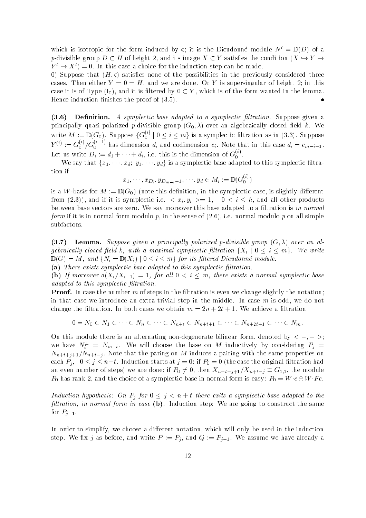which is isotropic for the form induced by  $\zeta$ ; it is the Dieudonne module  $N = D(D)$  of a p-divisible group  $D \subset H$  of height 2, and its image  $X \subset Y$  satisfies the condition  $(X \hookrightarrow Y \to Y)$  $Y \to X$   $\Rightarrow$   $\Box$  Th this case a choice for the induction step can be made.

- Suppose that H - satises none of the possibilities in the previously considered three cases. Then either  $Y = 0 = H$ , and we are done. Or Y is supersingular of height 2; in this case it is of Type I-U/I which it is of the form  $\gamma$  , we have the form wanted in the form wanted in the lemma  $\bullet$ Hence induction nishes the proof of -

 $(3.6)$ . Denimition-sension-symplectic contractic base and the symplectic ltrational suppose given at the principally quasipolarized pdivisible group G - over an algebraically closed eld k We write  $M := \mathbb{D}(G_0)$ . Suppose  $\{G_0^{\vee\prime} \mid 0 \leq i \leq m\}$  is a symplectic filtration as in (3.3). Suppose  $Y^{(\epsilon)} := G_0^{\epsilon_0} / G_0^{\epsilon_0}$  - has dimension  $d_i$  and codimension  $c_i$ . Note that in this case  $d_i = c_{m-i+1}$ . Let us write  $D_i := d_1 + \cdots + d_i$ , i.e. this is the dimension of  $G_0^{\leftrightarrow}$ .

We say that  $\{x_1, \dots, x_d, y_1, \dots, y_d\}$  is a symplectic base adapted to this symplectic filtration if  $\overline{G}$ 

$$
x_1,\cdots,x_{D_i},y_{D_{m-i}+1},\cdots,y_d\in M_i\coloneqq\mathbb{D}(G_0^{(i)})
$$

is a Wbasis for <sup>M</sup> <sup>D</sup> G - note this denition in the symplectic case is slightly dierent reflexively the contract in the symple contract of the symple and the symplectic international products of the between base vectors are zero. We say moreover this base adapted to a filtration is in normal for a in normal form if it is in the sense of - ie normal modulo p in the sense of - ie normal modulo p on all simple  $\mathbb{R}$ subfactors

- Lemma- Suppose given a principally polarized pdivisible group G - over an al gebraically closed field k, with a maximal symplectic filtration  $\{X_i \mid 0 \le i \le m\}$ . We write  $\Box$  group  $\Box$  is and  $\Box$   $\Box$  if  $\Box$  is a set of  $\Box$  is a set of  $\Box$  is a set of  $\Box$  is a set of  $\Box$  is a set of  $\Box$  is a set of  $\Box$  is a set of  $\Box$  is a set of  $\Box$  is a set of  $\Box$  is a set of  $\Box$  is a set o (a) There exists symplectic base adapted to this symplectic filtration.

 $\mathcal{N}$  is a normal symplectic base of  $\mathcal{N}$  and  $\mathcal{N}$  are existent base of  $\mathcal{N}$  . The symplectic base of  $\mathcal{N}$ 

adapted to this symplectic filtration.

Proof- In case the number m of steps in the ltration is even we change slightly the notation in that case we introduce an extra trivial step in the middle. In case  $m$  is odd, we do not change the filtration. In both cases we obtain  $m = 2n + 2t + 1$ . We achieve a filtration

$$
0 = N_0 \subset N_1 \subset \cdots \subset N_n \subset \cdots \subset N_{n+t} \subset N_{n+t+1} \subset \cdots \subset N_{n+2t+1} \subset \cdots \subset N_m.
$$

On this module there is an alternating non-degenerate bilinear form, denoted by  $\langle$  -, - >; we have  $N_i = N_{m-i}$ . We will choose the base on M inductively by considering  $F_j =$ Nntj Nnt-j Note that the paring on <sup>M</sup> induces a pairing with the same properties on each  $P_j$ ,  $0 \le j \le n+t$ . Induction starts at  $j = 0$ : if  $P_0 = 0$  (the case the original filtration had an even number of steps) we are done, if  $I_0 \neq 0$ , then  $A_{n+t+1}/A_{n+t-j} = \cup_{1,1}$ , the module  $P_0$  has rank 2, and the choice of a symplectic base in normal form is easy:  $P_0 = W \cdot e \oplus W \cdot Fe$ .

Induction hypothesis: On  $P_i$  for  $0 \leq j \leq n+t$  there exits a symplectic base adapted to the filtration, in normal form in case  $(b)$ . Induction step: We are going to construct the same for  $P_{j+1}$ .

In order to simplify, we choose a different notation, which will only be used in the induction step. We fix j as before, and write  $P := P_j$ , and  $Q := P_{j+1}$ . We assume we have already a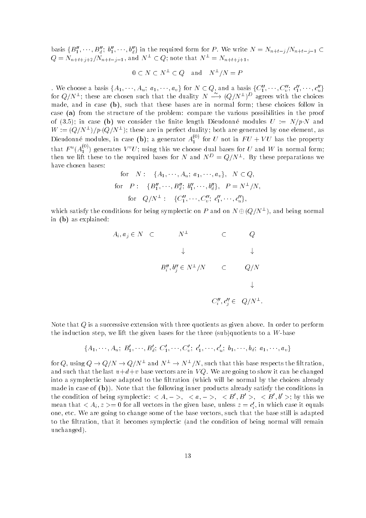basis  $\{B_1, \dots, B_d\}$ ,  $\emptyset_1, \dots, \emptyset_d\}$  in the required form for P. We write  $N = N_{n+t-j}/N_{n+t-j-1} \subset$  $Q = N_{n+t+j+2}/N_{n+t-j-1}$ , and  $N = \subset Q$ ; note that  $N = N_{n+t+j+1}$ ,

$$
0 \subset N \subset N^{\perp} \subset Q
$$
 and  $N^{\perp}/N = P$ 

. We choose a basis  $\{A_1, \cdots, A_u, u_1, \cdots, u_v\}$  for  $N \subset Q,$  and a basis  $\{C_1, \cdots, C_v, c_1, \cdots, c_u\}$ for  $Q/N^{\perp}$ ; these are chosen such that the duality  $N \longrightarrow (Q/N^{\perp})^{\nu}$  agrees with the choices made, and in case  $(b)$ , such that these bases are in normal form; these choices follow in case (a) from the structure of the problem: compare the various possibilities in the proof of the constant the nite length Dieuter of the nite length Dieuter modules U and the state of the modules U an  $W := (Q/N - 1/p)(Q/N - 1)$  these are in perfect duality; both are generated by one element, as Dieudonné modules, in case (**b**); a generator  $A_1^{\vee\vee}$  fo  $\mathbf{I}$  and  $\mathbf{I}$  is the property of  $\mathbf{I}$  and  $\mathbf{I}$  is the property of  $\mathbf{I}$ that  $F^u(A_1^{\tau\,\,\prime})$  generates  $V^{\,\,\prime}U$ ; using this we choose dual bases for  $U$  and  $W$  in normal form; then we lift these to the required bases for N and  $N^+ = Q/N^-$ . By these preparations we have chosen bases

for 
$$
N: \{A_1, \dots, A_u; a_1, \dots, a_v\}, N \subset Q
$$
,  
for  $P: \{B''_1, \dots, B''_d; b''_1, \dots, b''_d\}, P = N^{\perp}/N$ ,  
for  $Q/N^{\perp}: \{C''_1, \dots, C''_v; c''_1, \dots, c''_u\}$ ,

which satisfy the conditions for being symplectic on F and on  $N \oplus (Q/N^-)$ , and being normal in  $(b)$  as explained:

 $\overline{\phantom{a}}$ 

$$
A_i, a_j \in N \quad \subset \qquad N^{\perp} \qquad \subset \qquad Q
$$
  

$$
\downarrow \qquad \qquad \downarrow
$$
  

$$
B''_i, b''_j \in N^{\perp}/N \qquad \subset \qquad Q/N
$$
  

$$
\downarrow
$$
  

$$
C''_i, c''_j \in \quad Q/N^{\perp}.
$$

Note that  $Q$  is a successive extension with three quotients as given above. In order to perform the induction step we lift the given bases for the three sub-quotients to a Wbase

$$
\{A_1, \cdots, A_u; B'_1, \cdots, B'_d; C'_1, \cdots, C'_v; c'_1, \cdots, c'_u; b_1, \cdots, b_d; a_1, \cdots, a_v\}
$$

for Q, using  $Q \to Q/N \to Q/N^-$  and  $N^- \to N^-/N$  , such that this base respects the intration, and such that the last  $u+d+v$  base vectors are in VQ. We are going to show it can be changed into a symplectic base adapted to the filtration (which will be normal by the choices already made in case of b-p-p-cases inner included inner products already satisfy the conditions in the condition of being symplectic:  $\langle A, -\rangle$ ,  $\langle u, -\rangle$ ,  $\langle D, D \rangle$ ,  $\langle D, D \rangle$ ,  $\langle D, D \rangle$  by this we mean that  $\langle A_i, z \rangle = 0$  for an vectors in the given base, unless  $z = c_i$ , in which case it equals one, etc. We are going to change some of the base vectors, such that the base still is adapted to the filtration, that it becomes symplectic (and the condition of being normal will remain unchanged-band and the state of the state of the state of the state of the state of the state of the state of the state of the state of the state of the state of the state of the state of the state of the state of the stat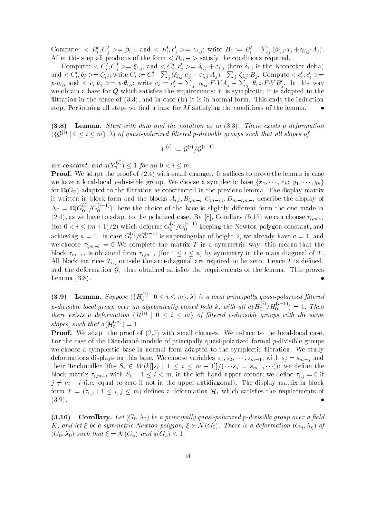Compute:  $\langle B_i',C_j'\rangle=\beta_{i,j},$  and  $\langle B_i',c_j'\rangle=\gamma_{i,j};$  write  $B_i\coloneqq B_i'-\sum_j\left(\beta_{i,j}\,a_j+\gamma_{i,j}\,A_j\right).$ After this step all products of the form  $\lt B_i$ ,  $\lt$  satisfy the conditions required.

Compute:  $\langle C_i, C_j \rangle = \xi_{i,j}$ , and  $\langle C_i, C_j \rangle = o_{i,j} + \varepsilon_{i,j}$  (here  $o_{i,j}$  is the Kronecker delta) and  $< C'_i, b_j > = \zeta_{i,j};$  write  $C_i := C'_i - \sum_j \left( \xi_{i,j} \cdot a_j + \varepsilon_{i,j} \cdot A_j \right) - \sum_j \, \zeta_{i,j} \cdot B_j.$  Compute  $< c'_i, c'_j > =$  $p\!\cdot \! \eta_{i,j}$  and  $< c_i.b_j> = p\!\cdot \! \theta_{i,j};$  write  $c_i = c'_i - \sum_j\ \eta_{i,j}\,F\,V A_j - \sum_i\ \theta_{i,j}\,F\,V B'_i.$  In this way we obtain a base for  $Q$  which satisfies the requirements: it is symplectic, it is adapted to the ltration in the sense of - and in case b it is in normal form This ends the induction step. Performing all steps we find a base for  $M$  satisfying the conditions of the lemma.

- Lemma- Start with data and the notation as in - There exists a deformation  $\{\{S^{(n)}\mid 0\leq i\leq m\}$ ,  $\lambda$  of quasi-polarized fluered p-divisible groups such that all slopes of

$$
Y^{(i)} := \mathcal{G}^{(i)} / \mathcal{G}^{(i-1)}
$$

are constant, and  $a(Y_n^{\vee})$ 

**Proof.** We adapt the proof of (2.4) with small changes. It suffices to prove the lemma in case we have a local-local p-divisible group. We choose a symplectic base  $\{x_1, \dots, x_h; y_1, \dots, y_h\}$ for D (  $\sim$  0 ) denotes the least international in the second in the previous construction base and previous construction is written in block form and the block  $\{i, v\} = i, m-i, v \} = m-i, v \equiv m-i, m-i, \ldots$  $N_0 = \mathbb{D}(G_0^{\epsilon_0}/G_0^{\epsilon_1-\epsilon_2})$ ; here the choice of the base is slightly different form the one made in  $\lambda = 1, \lambda$  as we can construct the polarized case  $\lambda$  . If  $\lambda$  is a set  $\lambda$  is the corollary  $\lambda$ (for  $0 < i \leq (m+1)/2$ ) which deforms  $G_0^{\gamma\gamma}/G_0^{\gamma-\gamma}$  keeping the Newton polygon constant, and achieving  $a=1$ . In case  $G_0^{\sigma'}/G_0^{\sigma''}$  is supersingular of height 2, we already have  $a=1,$  and we complete the matrix T in a symmetric way that the matrix  $\mathcal{N}$  in a symmetric way that the means that the means that the matrix  $\mathcal{N}$ is obtained from  $\alpha$  is obtained from its contract  $\alpha$  is the main diagonal of  $\alpha$  in the main diagonal of  $\alpha$  is the main diagonal of  $\alpha$ All block matrices  $T_{i,j}$  outside the anti-diagonal are required to be zero. Hence T is defined, and the deformation  $G_{\tau}$  thus obtained satisfies the requirements of the lemma. This proves Lemma  $(3.8)$ 

 $(3.9)$ **9**) Lemma. Suppose  $({H_0^{\alpha}}'|0 \leq i \leq m}$ ,  $\lambda)$  is a local principally quasi-polarized filtered p-divisible local group over an algebraically closed field k, with all  $a(H_0^{\gamma\gamma}/H_0^{\gamma-\gamma})=1.$  Then there exists a deformation  $\{\mathcal{H}^{\vee\prime}~|~0\leq t\leq m\}$  of filtered p-aivisible groups with the same slopes, such that  $a(H_n^{n-r}) = 1$ .

Proof- We adapt the proof of - with small changes We reduce to the locallocal case For the case of the Dieudonné module of principally quasi-polarized formal  $p$ -divisible groups we choose a symplectic base in normal form adapted to the symplectic filtration. We study deformations displays on the choice variables s such an and  $\mu$  sm-choose variables s such an and  $\mu$ their Teichmuller lifts  $\{x_i\}_{i=1}^N$  is the significant of  $\{y_i\}_{i=1}^N$  in the state of the state of  $\{y_i\}_{i=1}^N$ with the correction of the left hand upper corner we denote the left  $\alpha$  is a correction of the left  $\alpha$  is a correction of the left hand upper correction of the left of the left of the left of the left of the left of t j m iie equal to zero if not in the upperantidiagonal- The display matrix in block form <sup>T</sup> ij <sup>j</sup>  i j m- denes a deformation Hs which satises the requirements of  $(3.9).$ 

 $(3.10)$ corollary-be a principal ly quasipolarized pala ly quasipolarized polarized pala ly quasipolarized pala ly ser  $\alpha$  and let  $\mathcal{S}$  is a deformation polygon  $\mathcal{S}$  is a deformation of a deformation  $\mathcal{S}$  and  $\mathcal{S}$ G - such that <sup>N</sup> G - and aG-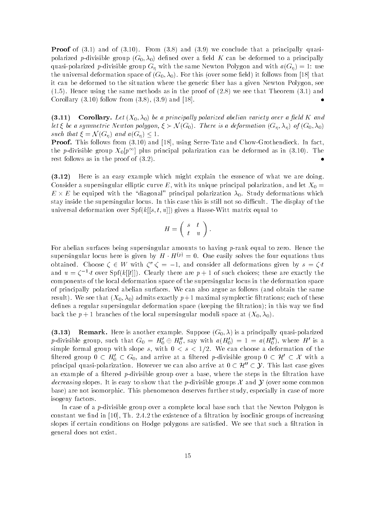recepting words in the form and the fact form the concluded that a principally species of the concluded that the concluded to  $\alpha$ polarized particle group (can be deformed to a electronic to a principally can be deformed to a principally ca d and the same of the same Second G with the same new to same to same and with a group  $\mathbb{R}^n$ the universal deformation space of G  $\mu$  -follows from  $\mu$ it can be deformed to the situation where the generic fiber has a given Newton Polygon, see , and the same method in the same methods as in the proof of  $\{1,2,3,4,5\}$  and  $\{1,3,4,5\}$  and  $\{1,3,4,5\}$  $\bullet$  $\blacksquare$  - and - and - and - and - and - and - and - and - and - and - and - and - and - and - and - and - and - and - and - and - and - and - and - and - and - and - and - and - and - and - and - and - and - and - and - an

 $(3.11)$ orollarized abelian variety polarized abelian variety polarized abelian variety abelian variety abelian variet let  $s$  for a symmetric newton polygon  $s$  is a deformation for a deformation  $\{ \prec_{H} \}$  ,  $\{ \prec_{H} \}$ such that <sup>N</sup> G- and aG - 

Proof- This follows from - and  using SerreTate and ChowGrothendieck In fact the p-divisible group  $A_0[p^+]$  plus principal polarization can be deformed as in (5.10). The rest follows as in the proof of  $(3.2)$ .

 $(3.12)$  Here is an easy example which might explain the esssence of what we are doing Consider a supersingular elliptic curve E, with its unique principal polarization, and let  $X_0 =$  $E \times E$  be equiped with the "diagonal" principal polarization  $\lambda_0$ . Study deformations which stay inside the supersingular locus. In this case this is still not so difficult. The display of the  $\mathbf{u}$  deformation over Spikersal deformation over Spikers a HasseKitt matrix equal to  $\mathbf{u}$ 

$$
H = \left( \begin{array}{cc} s & t \\ t & u \end{array} \right).
$$

For abelian surfaces being supersingular amounts to having  $p$ -rank equal to zero. Hence the supersingular locus here is given by  $H \cdot H^{\vee r} \equiv 0$ . One easily solves the four equations thus obtained. Unoose  $\zeta \in W$  with  $\zeta^* \zeta = -1$ , and consider an deformations given by  $s = \zeta^* \iota$ and  $u = c + t$  over  $\text{p}_1\{k\}\{t\}$ . Clearly there are  $p + 1$  of such choices, these are exactly the components of the local deformation space of the supersingular locus in the deformation space of principally polarized abelian surfaces. We can also argue as follows (and obtain the same result-believe that  $\{1-\theta\}$  which corresponds the maximum of the process exceptions each of the corrections each of the corrections of the corrections of the corrections of the corrections of the corrections of the corre denes a regular supersion supersingular supersingular deformation- the ltration-  $\mu$ back the p  $\mathfrak{p}$  , the local supersion of the local supersingular moduli space at  $\mathfrak{p}$  at  $\mathfrak{p}$  -  $\mathfrak{p}$ 

 $(3.13)$ . Here is a principally series of the internal community to the principally  $\alpha$  of  $\beta$  -  $\beta$  -  $\beta$  -  $\beta$  -  $\beta$  -  $\beta$  -  $\beta$  -  $\beta$  -  $\beta$  -  $\beta$  -  $\beta$  -  $\beta$  -  $\beta$  -  $\beta$  -  $\beta$  -  $\beta$  -  $\beta$  -  $\beta$  -  $\beta$  -  $\beta$  p-divisible group, such that  $G_0 = H_0 \oplus H_0$ , say with  $a(H_0) = 1 = a(H_0)$ , where  $H$  is a simple formal group with slope s with s  We can choose a deformation of the filtered group  $0 \text{ }\subset H_0' \subset G_0$ , and arrive at a filtered p-divisible group  $0 \subset \mathcal{H}' \subset \mathcal{X}$  with a principal quasi-polarization. However we can also arrive at  $0 \subset \mathcal{H}'' \subset \mathcal{Y}$ . This last case gives an example of a filtered  $p$ -divisible group over a base, where the steps in the filtration have decreasing slopes. It is easy to show that the p-divisible groups X and  $\mathcal Y$  (over some common base- are not isomorphic This phenomenon deserves further study especially in case of more isogeny factors

In case of a *p*-divisible group over a complete local base such that the Newton Polygon is constant we find in  $[10]$ , Th. 2.4.2 the existence of a filtration by isoclinic groups of increasing slopes if certain conditions on Hodge polygons are satisfied. We see that such a filtration in general does not exist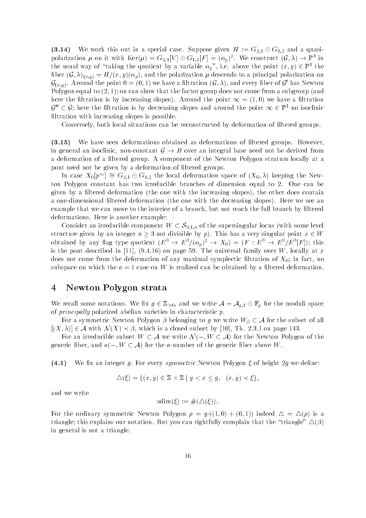$\sim$  , we we work this special case  $\sim$  special case  $\sim$  special case  $\sim$  1.4 and a quasipolarization  $\mu$  on it with  $\text{Ker}(\mu) = G_{2,1} |V| \oplus G_{1,2} |I'| = (\alpha_p)^{\perp}$ . We construct  $(\mathcal{G}, \lambda) \to \mathbb{F}^{\perp}$  in the usual way of "taking the quotient by a variable  $\alpha_p$  , i.e. above the point  $(x,y)\in\mathbb{F}^+$  the  $\mathcal{S}$  -  $\mathcal{S}$  -  $\mathcal{S}$  -  $\mathcal{S}$  -  $\mathcal{S}$  -  $\mathcal{S}$  -  $\mathcal{S}$  -  $\mathcal{S}$  -  $\mathcal{S}$  -  $\mathcal{S}$  -  $\mathcal{S}$  -  $\mathcal{S}$  -  $\mathcal{S}$  -  $\mathcal{S}$  -  $\mathcal{S}$  -  $\mathcal{S}$  -  $\mathcal{S}$  -  $\mathcal{S}$  -  $\mathcal{S}$  -  $\mathcal{S}$  -  $\mathcal{G}_{(x,y)}$ . Around the point  $\mathsf{u}=(\mathsf{u},1)$  we have a intration  $(\mathcal{G},\lambda),$  and every liber of  $\mathcal{G}$  -has Newton  $\mathsf{u}$ Polygon equal to - on can show that the factor group does not come from a subgroup and here the ltration is by increasing slopes-we have a ltration in the point  $\mathcal{A}$  and  $\mathcal{A}$  are the point  $\mathcal{A}$  $\mathcal{G}_+ \subset \mathcal{G}$ ; nere the intration is by decreasing slopes and around the point  $\infty \in \mathbb{I}^+$  no isocimic filtration with increasing slopes is possible.

Conversely, both local situations can be reconstructed by deformation of filtered groups.

 $(3.15)$ We have seen deformations obtained as deformations of filtered groups. However, in general an isoclinic, non-constant  $G \rightarrow B$  over an integral base need not be derived from a deformation of a filtered group. A component of the Newton Polygon stratum locally at a pont need not be given by a deformation of filtered groups.

In case  $A_0[p^{-1}]=\mathbf{G}_{2,1}\oplus \mathbf{G}_{1,2}$  the local deformation space of  $(A_0,A)$  keeping the Newton Polygon constant has two irreducible branches of dimension equal to 2. One can be  $\alpha$  ltered deformation the one with the increasing slopes-does contained slopes-does contained slopes-does contained slopesa one alternation the original deformation the one with the decreasing slopes-political slopesexample that we can move to the interior of a branch, but not reach the full branch by filtered deformations. Here is another example:

Consider an irreducible component  $W \subset S_{3,1,n}$  of the supersingular locus (with some level structure given by an integer n - not divisible by p- This has a very singular point x W obtained by any hag type quotient  $(E^+ \to E^-/(\alpha_p)^+ \to \Lambda_0) = (F^+ : E^- \to E^-/E^+|F|)$ ; this is the pont description of the universal family over W locally at  $\mathcal{N}$  at  $\mathcal{N}$  at  $\mathcal{N}$ does not come from the deformation of any maximal symplectic filtration of  $X_0$ ; in fact, no subspace on which the  $a = 1$  case on W is realized can be obtained by a filtered deformation.

#### $\overline{4}$ Newton Polygon strata

we recall some moduli some  $\alpha$   $\in$   $\rightarrow$   $y_0$  and we write  $\cdot$  . And  $\alpha$   $\in$   $y$  for the moduli space of  $principally$  polarized abelian varieties in characteristic  $p$ .

For a symmetric Newton Polygon  $\mu$  are subset of  $g$  we write  $\mu$  with  $\mu$  with  $\mu$  $\mathcal{X}$  , and  $\mathcal{X}$  , and  $\mathcal{X}$  are closed subset by  $\mathcal{X}$  , and  $\mathcal{X}$  are closed subset of  $\mathcal{X}$  , and  $\mathcal{X}$ 

For an irreducible subset W A we write <sup>N</sup> W A- for the Newton Polygon of the generic ber and a W A-W  $\subset$  , and the above W and the generic ber and the  $\sim$ 

 $(4.1)$ We fix an integer q. For every symmetric Newton Polygon  $\xi$  of height  $2q$  we define:

$$
\Delta(\xi) = \{(x, y) \in \mathbb{Z} \times \mathbb{Z} \mid y < x \le g, \ (x, y) \prec \xi\},
$$

and we write

$$
sdim(\xi) := \#(\Delta(\xi))
$$

. The ordinary symmetric  $\mathcal{L}(\mathbf{A})$  is a symmetric Newton Polygon  $\mathcal{L}(\mathbf{A})$  $\tau$  . This explains our notation But  $\tau$  and  $\tau$  and  $\tau$  and  $\tau$  and  $\tau$  and  $\tau$  the the triangle -  $\tau$ in general is not a triangle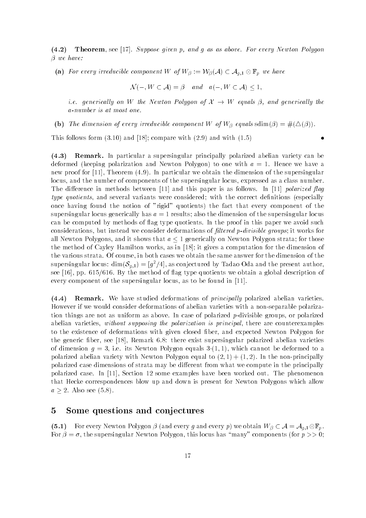$(4.2)$ **Theorem**, see [17]. Suppose given p, and q as as above. For every Newton Polygon

and the component with component  $\alpha$  ,  $\alpha$  and  $\alpha$   $\beta$  are the component W-M-L  $\alpha$  and  $\alpha$ 

<sup>N</sup> W A- - and a W A- 

ie generical ly on W the Newton Polygon of X W equals - and generical ly the a-number is at most one.

 $\mathcal{S} = \mathcal{S}$  . The dimension of the component with  $\mathcal{S} = \mathcal{S}$  , and  $\mathcal{S} = \{ \mathcal{S} \mid \mathcal{S} \}$  , and  $\mathcal{S} = \{ \mathcal{S} \mid \mathcal{S} \}$ 

This follows form - and  compare with - and with  -

 $\bullet$ 

 $(4.3)$ remark-large and particular a supersingular principally polarized abelian variety can be deformed to one with a strong polarization and new policy and  $\alpha$  and  $\alpha$  . The matrix with a strong with a  $\alpha$ new proof for property and the dimensional potential continuous continuous and the supersingular control of th locus, and the number of components of the supersingular locus, expressed as a class number. The difference in methods between  $\lceil 11 \rceil$  and this paper is as follows. In  $\lceil 11 \rceil$  polarized flag type quotients, and several variants were considered; with the correct definitions (especially once having found the notion of rigid quotients- the fact that every component of the supersingular locus generically has  $a = 1$  results; also the dimension of the supersingular locus can be computed by methods of flag type quotients. In the proof in this paper we avoid such considerations, but instead we consider deformations of *filtered p-divisible groups*; it works for all Newton Polygons, and it shows that  $a \leq 1$  generically on Newton Polygon strata; for those the method of Cayley Hamilton works, as in  $[18]$ ; it gives a computation for the dimension of the various strata. Of course, in both cases we obtain the same answer for the dimension of the supersingular locus:  $\dim(\mathcal{S}_{g,1}) = |g^*/4|,$  as conjectured by Tadao Oda and the present author, see and problems are method of agents we obtain a global description of a global description of a global description of a global description of a global description of a global description of a global description of a glob every component of the supersingular locus, as to be found in  $[11]$ .

 $(4.4)$ e, we have studied deformations of principal ly principal ly polarized abeliance abeliance of the studies of t However if we would consider deformations of abelian varieties with a non-separable polarization things are not as uniform as above. In case of polarized p-divisible groups, or polarized abelian varieties, without supposing the polarization is principal, there are counterexamples to the existence of deformations with given closed fiber, and expected Newton Polygon for the generic fiber, see  $[18]$ , Remark  $6.8$ : there exist supersingular polarized abelian varieties  $\mathcal{A}$  is new ton Polygon equals  $\mathcal{A}$  and  $\mathcal{A}$  -models to annot be deformed to annot be defined to annot be defined to annot be defined to annot be defined to annot be defined to annot be defined to annot be def polarized abelian variety with Newton Polygon equal to  $\mathbf{I} = \{ \mathbf{I} \mid \mathbf{I} = \mathbf{I} \}$  and the non-principally polarized case dimensions of strata may be dierent from what we compute in the principally polarized case. In [11], Section 12 some examples have been worked out. The phenomenon that Hecke correspondences blow up and down is present for Newton Polygons which allow a - Also see Also see Also see Also see Also see Also see Also see Also see Also see Also see Also see Also

#### $\overline{5}$ Some questions and conjectures

 $\mathcal{F}=\mathcal{F}$  , and every discussion  $\mathcal{F}$  and every property property we obtain  $\mathcal{F}$  , we obtain  $\mathcal{F}$ For - the supersingular Newton Polygon this locus has many components for p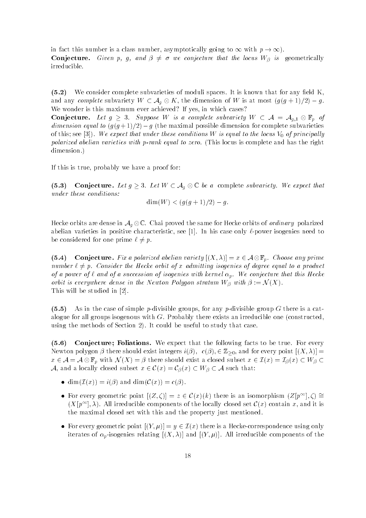in fact this number is a class number as  $\alpha$  class number as  $\alpha$  of  $\alpha$  - with p  $\alpha$  - with p  $\alpha$ Conjecture- Given p g and - we conjecture that the locus W- is geometrically irreducible

 $(5.2)$ We consider complete subvarieties of moduli spaces. It is known that for any field  $K$ , and any complete substant  $\leftarrow$  and  $\leftarrow$  are dimension of W is at most gauge  $\left\{g_i\right\}$ We wonder is this maximum ever achieved? If yes, in which cases?

Conjecture- Let g - Suppose <sup>W</sup> is a complete subvariety <sup>W</sup> A Ag Fp of dimension equal to galaxies and maximal possible dimension for complete subvarieties of complete subvarieties of this see I-I- we expect that where these conditions W is equal to the locus V of principal ly polarized abelian varieties with p-rank equal to zero. (This locus is complete and has the right dimension.)

If this is true, probably we have a proof for:

 $(5.3)$  $\Gamma$  , and  $\Gamma$  -state and  $\Gamma$  are a complete subvariety we expect that  $\Gamma$ under these conditions

$$
\dim(W) < (g(g+1)/2) - g.
$$

Hecke orbits are dense in  $\mathcal{A}_g\otimes\mathbb{C}$ . Chai proved the same for Hecke orbits of *ordinary* polarized abelian varieties in positive characteristic, see [1]. In his case only  $\ell$ -power isogenies need to be considered for one prime  $\ell \neq p$ .

 $\mathcal{L} = \mathcal{L} = \mathcal{L} = \mathcal{L} = \mathcal{L} = \mathcal{L} = \mathcal{L} = \mathcal{L} = \mathcal{L} = \mathcal{L} = \mathcal{L} = \mathcal{L} = \mathcal{L} = \mathcal{L} = \mathcal{L} = \mathcal{L} = \mathcal{L} = \mathcal{L} = \mathcal{L} = \mathcal{L} = \mathcal{L} = \mathcal{L} = \mathcal{L} = \mathcal{L} = \mathcal{L} = \mathcal{L} = \mathcal{L} = \mathcal{L} = \mathcal{L} = \mathcal{L} = \mathcal{L} = \mathcal$ number  $\ell \neq p$ . Consider the Hecke orbit of x admitting isogenies of degree equal to a product of a power of  $\ell$  and of a succession of isogenies with kernel  $\alpha_p$ . We conjecture that this Hecke orbit is everywhere dense in the Newton Polygon stratum W-2012  $\mu$  , which  $\mu$  is a stratum  $\mu$ This will be studied in [2].

 $(5.5)$ As in the case of simple p-divisible groups, for any p-divisible group G there is a catalogue for all groups isogenous with  $G$ . Probably there exists an irreducible one (constructed, is the methods of Section - It could be useful to study that case  $\mathcal{L}$ 

 $(5.6)$ conjecture for the following following facts that the following facts to be true for every Newton polygon - there should exist integers i-- c-- Z and for every point X -  $\alpha$  , and  $\alpha$  is the significant subset of the subset  $\alpha$  can be a contracted subset  $\alpha$  , and  $\alpha$  and  $\alpha$  $\alpha$  and a local subset  $\alpha$  is that  $\alpha$  is the subset  $\alpha$  is that  $\alpha$ 

- dimIx-- i-- and dimCx-- c--
- For every geometric point  $(Z,\zeta) = z \in C(x)(\kappa)$  there is an isomorphism  $(Z/p^{-1},\zeta) =$  $(X | p^{-1}, X)$ . All iffequatible components of the locally closed set  $C(x)$  contain x, and it is the maximal closed set with this and the property just mentioned
- For every geometric point Y y Ix- there is a Heckecorrespondence using only iterates of picogenies relating  $\{X \in \mathcal{X}, Y\}$  and  $\{X \in \mathcal{X}, Y\}$  is relative components of the components of the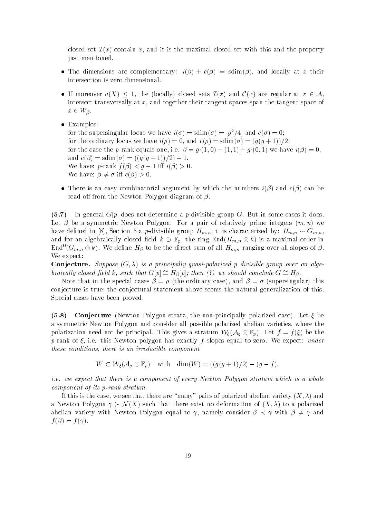closed set Ix-IX-is the maximal closed set is the maximal closed set with the maximal closed set with the prop just mentioned.

- $\mathbf{r} = \mathbf{r} \cdot \mathbf{r} + \mathbf{r} \cdot \mathbf{r} + \mathbf{r} \cdot \mathbf{r} + \mathbf{r} \cdot \mathbf{r} + \mathbf{r} \cdot \mathbf{r} + \mathbf{r} \cdot \mathbf{r} + \mathbf{r} \cdot \mathbf{r} + \mathbf{r} \cdot \mathbf{r} + \mathbf{r} \cdot \mathbf{r} + \mathbf{r} \cdot \mathbf{r} + \mathbf{r} \cdot \mathbf{r} + \mathbf{r} \cdot \mathbf{r} + \mathbf{r} \cdot \mathbf{r} + \mathbf{r} \cdot \mathbf{r} + \mathbf$ intersection is zero dimensional
- is more and a property are produced sets in the local sets in the component of the sets in the sets in the set intersect transversally at  $x$ , and together their tangent spaces span the tangent space of x W-
- Examples:

for the supersingular locus we have  $i(\sigma) = \sinh(\sigma) = |q^2/4|$  and  $c(\sigma) = 0$ ; for the ordinary locus we have in the contract of the ordinary locus we have in the contract of the contract of the contract of the contract of the contract of the contract of the contract of the contract of the contract er internet in prank equals entities a provided proper and the contractive of the and c-- sdim- gg -- -   $\mathcal{L}$  . The property of the property of the property of the contract of the contract of the contract of the contract of the contract of the contract of the contract of the contract of the contract of the contract of th We have - i c--

 There is an easy combinatorial argument by which the numbers i-- and c-- can be read out the new the Newton Polygon diagram of  $\mu$  .

, In general G p does not determine a possession group G But in some cases it does Let - be a symmetric Newton Polygon For a pair of relatively prime integers m n- we have denoted in the contracted by Hmn in the contracted by Hmn in  $\mathcal{S}$ and for an algebraically closed masses  $\mu_1$  and  $\mu_2$  is a maximal order in  $\mu_1$  and  $\mu_2$ End  $(G_{m,n}\otimes \kappa)$ . We define  $H_{\beta}$  to be the direct sum of all  $H_{m,n}$  ranging over all slopes of  $\rho.$ We expect

e energe se energies and the suppose of the production and algebra and algebra and algebra and algebra and alg braically closed field k, such that  $G[p] \equiv H_{\beta}[p]$ , then  $\beta$  we should conclude  $G \equiv H_{\beta}$ .

note that in the special cases of the special cases of the special cases of the special cases of the special cases of the special cases of the special cases of the special cases of the special cases of the special cases of conjecture is true; the conjectural statement above seems the natural generalization of this. Special cases have been proved

 $(5.8)$  Conjecture Newton Polygon strata the nonprincipally polarized case- Let be a symmetric Newton Polygon and consider all possible polarized abelian varieties, where the polarization need not be principal This gives a stratum WAG  $\vee$  (  $\vee$   $\vee$   $\vee$   $\vee$   $\vee$   $\vee$   $\vee$   $\vee$   $\vee$   $\vee$   $\vee$   $\vee$ p-rank of  $\xi$ , i.e. this Newton polygon has exactly f slopes equal to zero. We expect: under these conditions, there is an irreducible component

 $\mathcal{F}^{\mathcal{F}}$  , with  $\mathcal{F}^{\mathcal{F}}$  and  $\mathcal{F}^{\mathcal{F}}$  ,  $\mathcal{F}^{\mathcal{F}}$  ,  $\mathcal{F}^{\mathcal{F}}$  ,  $\mathcal{F}^{\mathcal{F}}$  ,  $\mathcal{F}^{\mathcal{F}}$  ,  $\mathcal{F}^{\mathcal{F}}$  ,  $\mathcal{F}^{\mathcal{F}}$  ,  $\mathcal{F}^{\mathcal{F}}$  ,  $\mathcal{F}^{\mathcal{F}}$  ,  $\mathcal{F}^{\mathcal{F}}$ 

*i.e.* we expect that there is a component of every Newton Polygon stratum which is a whole component of its  $p$ -rank stratum.

If this is the case we see that there are many pairs of polarized abelian variety X - and a Newton Polygon N X- such that there exist no deformation of X - to a polarized abelian variety with Newton Polygon equal to namely consider  $\mathcal{A}$  and the constant  $\mathcal{A}$ f -- f -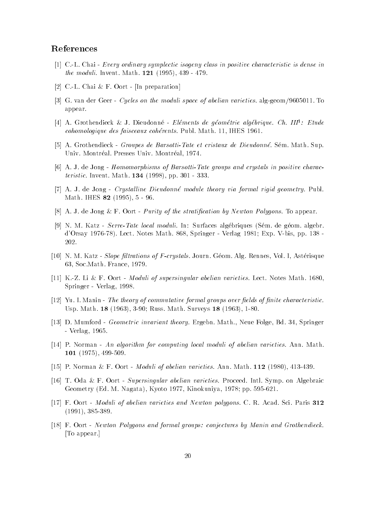## References

- [1]  $C.L. Chai Every ordinary symplectic isogeny class in positive characteristic is dense in$ the moduli Invent Math  -
- [2] C.-L. Chai & F. Oort [In preparation]
- is is a constructed to the contract of the moduli space of abeliance on the moduli space of the second to the appear
- [4] A. Grothendieck & J. Dieudonne *Etements de geometrie algebrique. Ch. 111°: Etude* cohomologique des faisceaux cohérents. Publ. Math. 11, IHES 1961.
- A Grothendieck Groupes de BarsottiTate et cristaux de Dieudonne Sem Math Sup Univ. Montréal. Presses Univ. Montréal, 1974.
- [6] A. J. de Jong Homomorphisms of Barsotti-Tate groups and crystals in positive characteristic Interiormetric comparations and the property of the state of the state of the state of the state of t
- $[7]$  A. J. de Jong Crystalline Dieudonné module theory via formal rigid geometry. Publ. Math IHES  -
- [8] A. J. de Jong & F. Oort Purity of the stratification by Newton Polygons. To appear.
- [9] N. M. Katz Serre-Tate local moduli. In: Surfaces algébriques (Sém. de géom. algebr. a start, the contract of the second contract of the springer of the springer of the springer of the second spr 202.
- [10] N. M. Katz Slope filtrations of F-crystals. Journ. Géom. Alg. Rennes, Vol. I, Astérisque 63, Soc. Math. France, 1979.
- [11] K.-Z. Li & F. Oort *Moduli of supersingular abelian varieties*. Lect. Notes Math. 1680. Springer - Verlag, 1998.
- $[12]$  Yu. I. Manin The theory of commutative formal groups over fields of finite characteristic. usp math surveys in the communication of the surveys of the set
- [13] D. Mumford *Geometric invariant theory*. Ergebn. Math., Neue Folge, Bd. 34, Springer Verlag
- [14] P. Norman An algorithm for computing local moduli of abelian varieties. Ann. Math. --- , -- . - , , -- . - . . . .
- per production of the state of abelian varieties and moduli of abelian varieties and the state of abelian vari
- [16] T. Oda & F. Oort Supersingular abelian varieties. Proceed. Intl. Symp. on Algebraic Geometry Ed M Nagata- Kyoto  Kinokuniya  pp
- [17] F. Oort Moduli of abelian varieties and Newton polygons. C. R. Acad. Sci. Paris 312 -
- [18] F. Oort Newton Polygons and formal groups: conjectures by Manin and Grothendieck. To appear